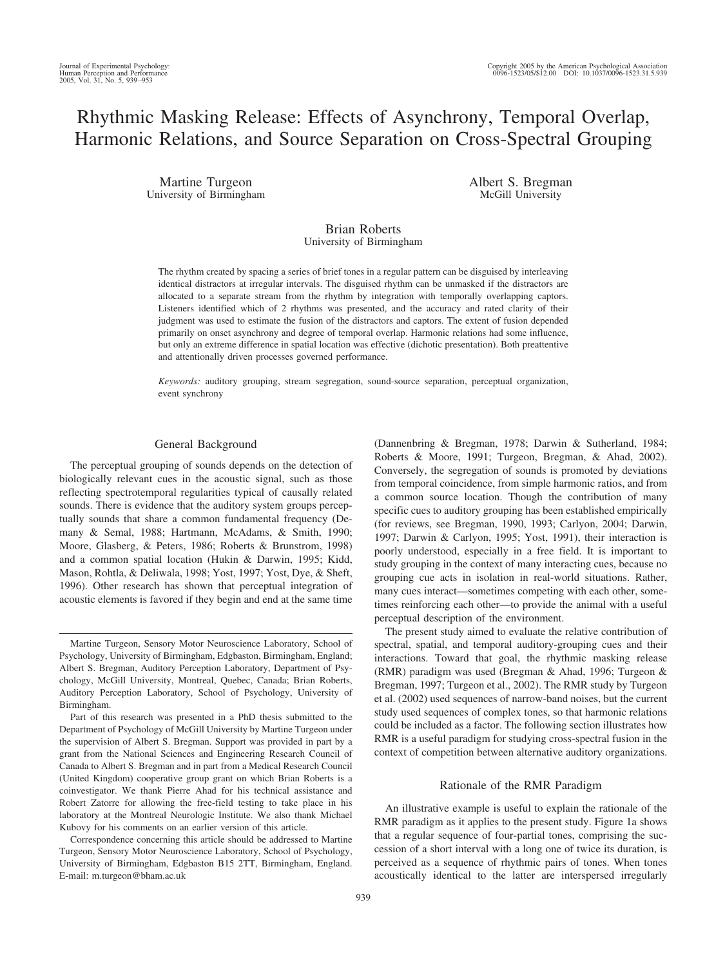# Rhythmic Masking Release: Effects of Asynchrony, Temporal Overlap, Harmonic Relations, and Source Separation on Cross-Spectral Grouping

Martine Turgeon University of Birmingham Albert S. Bregman McGill University

## Brian Roberts University of Birmingham

The rhythm created by spacing a series of brief tones in a regular pattern can be disguised by interleaving identical distractors at irregular intervals. The disguised rhythm can be unmasked if the distractors are allocated to a separate stream from the rhythm by integration with temporally overlapping captors. Listeners identified which of 2 rhythms was presented, and the accuracy and rated clarity of their judgment was used to estimate the fusion of the distractors and captors. The extent of fusion depended primarily on onset asynchrony and degree of temporal overlap. Harmonic relations had some influence, but only an extreme difference in spatial location was effective (dichotic presentation). Both preattentive and attentionally driven processes governed performance.

*Keywords:* auditory grouping, stream segregation, sound-source separation, perceptual organization, event synchrony

#### General Background

The perceptual grouping of sounds depends on the detection of biologically relevant cues in the acoustic signal, such as those reflecting spectrotemporal regularities typical of causally related sounds. There is evidence that the auditory system groups perceptually sounds that share a common fundamental frequency (Demany & Semal, 1988; Hartmann, McAdams, & Smith, 1990; Moore, Glasberg, & Peters, 1986; Roberts & Brunstrom, 1998) and a common spatial location (Hukin & Darwin, 1995; Kidd, Mason, Rohtla, & Deliwala, 1998; Yost, 1997; Yost, Dye, & Sheft, 1996). Other research has shown that perceptual integration of acoustic elements is favored if they begin and end at the same time (Dannenbring & Bregman, 1978; Darwin & Sutherland, 1984; Roberts & Moore, 1991; Turgeon, Bregman, & Ahad, 2002). Conversely, the segregation of sounds is promoted by deviations from temporal coincidence, from simple harmonic ratios, and from a common source location. Though the contribution of many specific cues to auditory grouping has been established empirically (for reviews, see Bregman, 1990, 1993; Carlyon, 2004; Darwin, 1997; Darwin & Carlyon, 1995; Yost, 1991), their interaction is poorly understood, especially in a free field. It is important to study grouping in the context of many interacting cues, because no grouping cue acts in isolation in real-world situations. Rather, many cues interact—sometimes competing with each other, sometimes reinforcing each other—to provide the animal with a useful perceptual description of the environment.

The present study aimed to evaluate the relative contribution of spectral, spatial, and temporal auditory-grouping cues and their interactions. Toward that goal, the rhythmic masking release (RMR) paradigm was used (Bregman & Ahad, 1996; Turgeon & Bregman, 1997; Turgeon et al., 2002). The RMR study by Turgeon et al. (2002) used sequences of narrow-band noises, but the current study used sequences of complex tones, so that harmonic relations could be included as a factor. The following section illustrates how RMR is a useful paradigm for studying cross-spectral fusion in the context of competition between alternative auditory organizations.

#### Rationale of the RMR Paradigm

An illustrative example is useful to explain the rationale of the RMR paradigm as it applies to the present study. Figure 1a shows that a regular sequence of four-partial tones, comprising the succession of a short interval with a long one of twice its duration, is perceived as a sequence of rhythmic pairs of tones. When tones acoustically identical to the latter are interspersed irregularly

Martine Turgeon, Sensory Motor Neuroscience Laboratory, School of Psychology, University of Birmingham, Edgbaston, Birmingham, England; Albert S. Bregman, Auditory Perception Laboratory, Department of Psychology, McGill University, Montreal, Quebec, Canada; Brian Roberts, Auditory Perception Laboratory, School of Psychology, University of Birmingham.

Part of this research was presented in a PhD thesis submitted to the Department of Psychology of McGill University by Martine Turgeon under the supervision of Albert S. Bregman. Support was provided in part by a grant from the National Sciences and Engineering Research Council of Canada to Albert S. Bregman and in part from a Medical Research Council (United Kingdom) cooperative group grant on which Brian Roberts is a coinvestigator. We thank Pierre Ahad for his technical assistance and Robert Zatorre for allowing the free-field testing to take place in his laboratory at the Montreal Neurologic Institute. We also thank Michael Kubovy for his comments on an earlier version of this article.

Correspondence concerning this article should be addressed to Martine Turgeon, Sensory Motor Neuroscience Laboratory, School of Psychology, University of Birmingham, Edgbaston B15 2TT, Birmingham, England. E-mail: m.turgeon@bham.ac.uk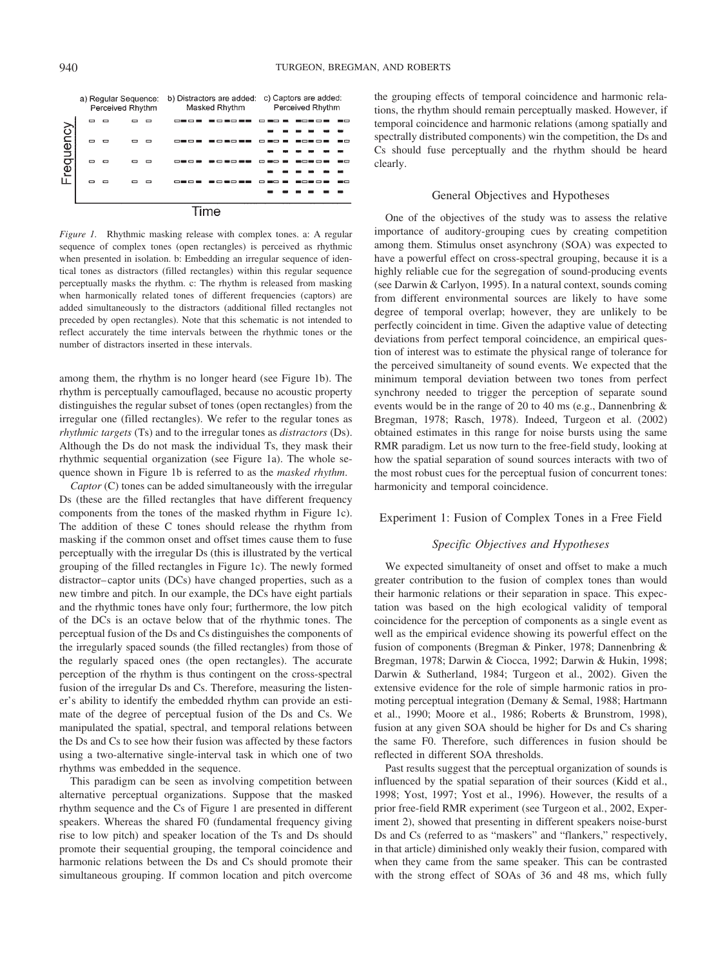|          | a) Regular Sequence:<br>Perceived Rhythm |  |  |  | Masked Rhythm | b) Distractors are added: c) Captors are added:<br>Perceived Rhythm |  |  |  |  |  |  |
|----------|------------------------------------------|--|--|--|---------------|---------------------------------------------------------------------|--|--|--|--|--|--|
| requency |                                          |  |  |  |               |                                                                     |  |  |  |  |  |  |
|          |                                          |  |  |  |               |                                                                     |  |  |  |  |  |  |
|          |                                          |  |  |  |               |                                                                     |  |  |  |  |  |  |
|          |                                          |  |  |  |               |                                                                     |  |  |  |  |  |  |
|          |                                          |  |  |  |               |                                                                     |  |  |  |  |  |  |
| Fima     |                                          |  |  |  |               |                                                                     |  |  |  |  |  |  |

*Figure 1.* Rhythmic masking release with complex tones. a: A regular sequence of complex tones (open rectangles) is perceived as rhythmic when presented in isolation. b: Embedding an irregular sequence of identical tones as distractors (filled rectangles) within this regular sequence perceptually masks the rhythm. c: The rhythm is released from masking when harmonically related tones of different frequencies (captors) are added simultaneously to the distractors (additional filled rectangles not preceded by open rectangles). Note that this schematic is not intended to reflect accurately the time intervals between the rhythmic tones or the number of distractors inserted in these intervals.

among them, the rhythm is no longer heard (see Figure 1b). The rhythm is perceptually camouflaged, because no acoustic property distinguishes the regular subset of tones (open rectangles) from the irregular one (filled rectangles). We refer to the regular tones as *rhythmic targets* (Ts) and to the irregular tones as *distractors* (Ds). Although the Ds do not mask the individual Ts, they mask their rhythmic sequential organization (see Figure 1a). The whole sequence shown in Figure 1b is referred to as the *masked rhythm*.

*Captor* (C) tones can be added simultaneously with the irregular Ds (these are the filled rectangles that have different frequency components from the tones of the masked rhythm in Figure 1c). The addition of these C tones should release the rhythm from masking if the common onset and offset times cause them to fuse perceptually with the irregular Ds (this is illustrated by the vertical grouping of the filled rectangles in Figure 1c). The newly formed distractor–captor units (DCs) have changed properties, such as a new timbre and pitch. In our example, the DCs have eight partials and the rhythmic tones have only four; furthermore, the low pitch of the DCs is an octave below that of the rhythmic tones. The perceptual fusion of the Ds and Cs distinguishes the components of the irregularly spaced sounds (the filled rectangles) from those of the regularly spaced ones (the open rectangles). The accurate perception of the rhythm is thus contingent on the cross-spectral fusion of the irregular Ds and Cs. Therefore, measuring the listener's ability to identify the embedded rhythm can provide an estimate of the degree of perceptual fusion of the Ds and Cs. We manipulated the spatial, spectral, and temporal relations between the Ds and Cs to see how their fusion was affected by these factors using a two-alternative single-interval task in which one of two rhythms was embedded in the sequence.

This paradigm can be seen as involving competition between alternative perceptual organizations. Suppose that the masked rhythm sequence and the Cs of Figure 1 are presented in different speakers. Whereas the shared F0 (fundamental frequency giving rise to low pitch) and speaker location of the Ts and Ds should promote their sequential grouping, the temporal coincidence and harmonic relations between the Ds and Cs should promote their simultaneous grouping. If common location and pitch overcome the grouping effects of temporal coincidence and harmonic relations, the rhythm should remain perceptually masked. However, if temporal coincidence and harmonic relations (among spatially and spectrally distributed components) win the competition, the Ds and Cs should fuse perceptually and the rhythm should be heard clearly.

## General Objectives and Hypotheses

One of the objectives of the study was to assess the relative importance of auditory-grouping cues by creating competition among them. Stimulus onset asynchrony (SOA) was expected to have a powerful effect on cross-spectral grouping, because it is a highly reliable cue for the segregation of sound-producing events (see Darwin & Carlyon, 1995). In a natural context, sounds coming from different environmental sources are likely to have some degree of temporal overlap; however, they are unlikely to be perfectly coincident in time. Given the adaptive value of detecting deviations from perfect temporal coincidence, an empirical question of interest was to estimate the physical range of tolerance for the perceived simultaneity of sound events. We expected that the minimum temporal deviation between two tones from perfect synchrony needed to trigger the perception of separate sound events would be in the range of 20 to 40 ms (e.g., Dannenbring & Bregman, 1978; Rasch, 1978). Indeed, Turgeon et al. (2002) obtained estimates in this range for noise bursts using the same RMR paradigm. Let us now turn to the free-field study, looking at how the spatial separation of sound sources interacts with two of the most robust cues for the perceptual fusion of concurrent tones: harmonicity and temporal coincidence.

## Experiment 1: Fusion of Complex Tones in a Free Field

#### *Specific Objectives and Hypotheses*

We expected simultaneity of onset and offset to make a much greater contribution to the fusion of complex tones than would their harmonic relations or their separation in space. This expectation was based on the high ecological validity of temporal coincidence for the perception of components as a single event as well as the empirical evidence showing its powerful effect on the fusion of components (Bregman & Pinker, 1978; Dannenbring & Bregman, 1978; Darwin & Ciocca, 1992; Darwin & Hukin, 1998; Darwin & Sutherland, 1984; Turgeon et al., 2002). Given the extensive evidence for the role of simple harmonic ratios in promoting perceptual integration (Demany & Semal, 1988; Hartmann et al., 1990; Moore et al., 1986; Roberts & Brunstrom, 1998), fusion at any given SOA should be higher for Ds and Cs sharing the same F0. Therefore, such differences in fusion should be reflected in different SOA thresholds.

Past results suggest that the perceptual organization of sounds is influenced by the spatial separation of their sources (Kidd et al., 1998; Yost, 1997; Yost et al., 1996). However, the results of a prior free-field RMR experiment (see Turgeon et al., 2002, Experiment 2), showed that presenting in different speakers noise-burst Ds and Cs (referred to as "maskers" and "flankers," respectively, in that article) diminished only weakly their fusion, compared with when they came from the same speaker. This can be contrasted with the strong effect of SOAs of 36 and 48 ms, which fully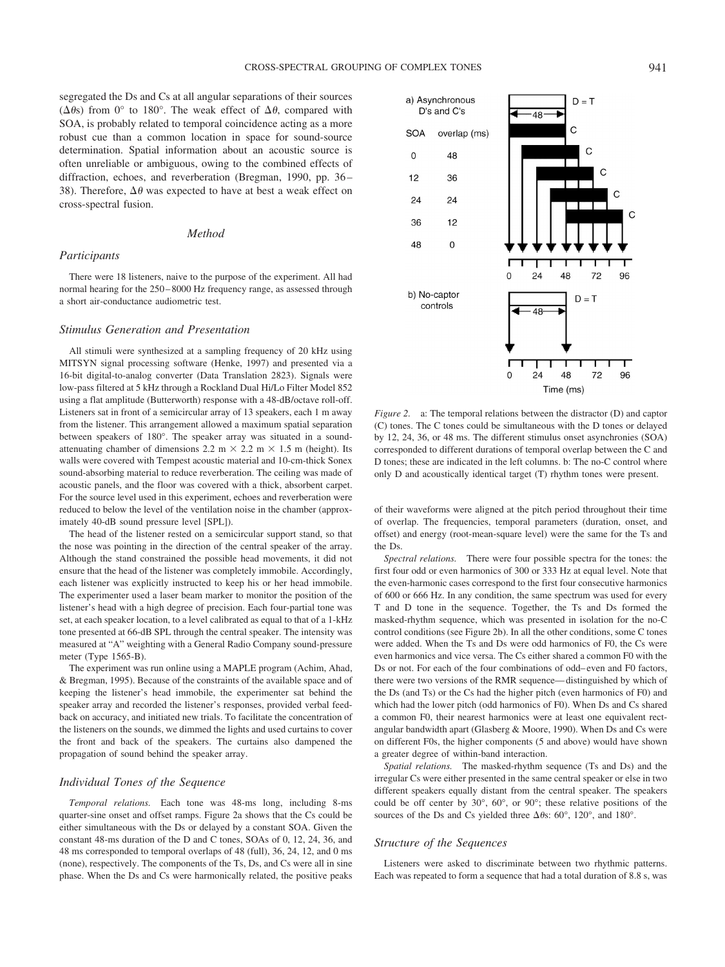segregated the Ds and Cs at all angular separations of their sources ( $\Delta\theta$ s) from 0° to 180°. The weak effect of  $\Delta\theta$ , compared with SOA, is probably related to temporal coincidence acting as a more robust cue than a common location in space for sound-source determination. Spatial information about an acoustic source is often unreliable or ambiguous, owing to the combined effects of diffraction, echoes, and reverberation (Bregman, 1990, pp. 36– 38). Therefore,  $\Delta\theta$  was expected to have at best a weak effect on cross-spectral fusion.

#### *Method*

#### *Participants*

There were 18 listeners, naive to the purpose of the experiment. All had normal hearing for the 250 – 8000 Hz frequency range, as assessed through a short air-conductance audiometric test.

#### *Stimulus Generation and Presentation*

All stimuli were synthesized at a sampling frequency of 20 kHz using MITSYN signal processing software (Henke, 1997) and presented via a 16-bit digital-to-analog converter (Data Translation 2823). Signals were low-pass filtered at 5 kHz through a Rockland Dual Hi/Lo Filter Model 852 using a flat amplitude (Butterworth) response with a 48-dB/octave roll-off. Listeners sat in front of a semicircular array of 13 speakers, each 1 m away from the listener. This arrangement allowed a maximum spatial separation between speakers of 180°. The speaker array was situated in a soundattenuating chamber of dimensions 2.2 m  $\times$  2.2 m  $\times$  1.5 m (height). Its walls were covered with Tempest acoustic material and 10-cm-thick Sonex sound-absorbing material to reduce reverberation. The ceiling was made of acoustic panels, and the floor was covered with a thick, absorbent carpet. For the source level used in this experiment, echoes and reverberation were reduced to below the level of the ventilation noise in the chamber (approximately 40-dB sound pressure level [SPL]).

The head of the listener rested on a semicircular support stand, so that the nose was pointing in the direction of the central speaker of the array. Although the stand constrained the possible head movements, it did not ensure that the head of the listener was completely immobile. Accordingly, each listener was explicitly instructed to keep his or her head immobile. The experimenter used a laser beam marker to monitor the position of the listener's head with a high degree of precision. Each four-partial tone was set, at each speaker location, to a level calibrated as equal to that of a 1-kHz tone presented at 66-dB SPL through the central speaker. The intensity was measured at "A" weighting with a General Radio Company sound-pressure meter (Type 1565-B).

The experiment was run online using a MAPLE program (Achim, Ahad, & Bregman, 1995). Because of the constraints of the available space and of keeping the listener's head immobile, the experimenter sat behind the speaker array and recorded the listener's responses, provided verbal feedback on accuracy, and initiated new trials. To facilitate the concentration of the listeners on the sounds, we dimmed the lights and used curtains to cover the front and back of the speakers. The curtains also dampened the propagation of sound behind the speaker array.

#### *Individual Tones of the Sequence*

*Temporal relations.* Each tone was 48-ms long, including 8-ms quarter-sine onset and offset ramps. Figure 2a shows that the Cs could be either simultaneous with the Ds or delayed by a constant SOA. Given the constant 48-ms duration of the D and C tones, SOAs of 0, 12, 24, 36, and 48 ms corresponded to temporal overlaps of 48 (full), 36, 24, 12, and 0 ms (none), respectively. The components of the Ts, Ds, and Cs were all in sine phase. When the Ds and Cs were harmonically related, the positive peaks



*Figure 2.* a: The temporal relations between the distractor (D) and captor (C) tones. The C tones could be simultaneous with the D tones or delayed by 12, 24, 36, or 48 ms. The different stimulus onset asynchronies (SOA) corresponded to different durations of temporal overlap between the C and D tones; these are indicated in the left columns. b: The no-C control where only D and acoustically identical target (T) rhythm tones were present.

of their waveforms were aligned at the pitch period throughout their time of overlap. The frequencies, temporal parameters (duration, onset, and offset) and energy (root-mean-square level) were the same for the Ts and the Ds.

*Spectral relations.* There were four possible spectra for the tones: the first four odd or even harmonics of 300 or 333 Hz at equal level. Note that the even-harmonic cases correspond to the first four consecutive harmonics of 600 or 666 Hz. In any condition, the same spectrum was used for every T and D tone in the sequence. Together, the Ts and Ds formed the masked-rhythm sequence, which was presented in isolation for the no-C control conditions (see Figure 2b). In all the other conditions, some C tones were added. When the Ts and Ds were odd harmonics of F0, the Cs were even harmonics and vice versa. The Cs either shared a common F0 with the Ds or not. For each of the four combinations of odd–even and F0 factors, there were two versions of the RMR sequence— distinguished by which of the Ds (and Ts) or the Cs had the higher pitch (even harmonics of F0) and which had the lower pitch (odd harmonics of F0). When Ds and Cs shared a common F0, their nearest harmonics were at least one equivalent rectangular bandwidth apart (Glasberg  $\&$  Moore, 1990). When Ds and Cs were on different F0s, the higher components (5 and above) would have shown a greater degree of within-band interaction.

*Spatial relations.* The masked-rhythm sequence (Ts and Ds) and the irregular Cs were either presented in the same central speaker or else in two different speakers equally distant from the central speaker. The speakers could be off center by 30°, 60°, or 90°; these relative positions of the sources of the Ds and Cs yielded three  $\Delta\theta$ s: 60°, 120°, and 180°.

#### *Structure of the Sequences*

Listeners were asked to discriminate between two rhythmic patterns. Each was repeated to form a sequence that had a total duration of 8.8 s, was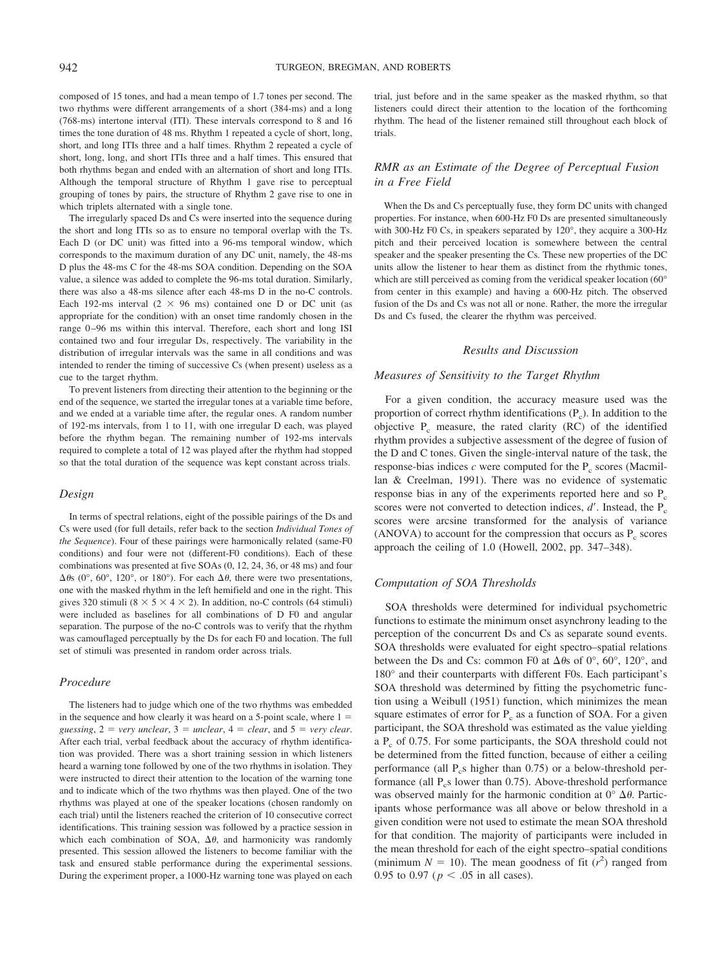composed of 15 tones, and had a mean tempo of 1.7 tones per second. The two rhythms were different arrangements of a short (384-ms) and a long (768-ms) intertone interval (ITI). These intervals correspond to 8 and 16 times the tone duration of 48 ms. Rhythm 1 repeated a cycle of short, long, short, and long ITIs three and a half times. Rhythm 2 repeated a cycle of short, long, long, and short ITIs three and a half times. This ensured that both rhythms began and ended with an alternation of short and long ITIs. Although the temporal structure of Rhythm 1 gave rise to perceptual grouping of tones by pairs, the structure of Rhythm 2 gave rise to one in which triplets alternated with a single tone.

The irregularly spaced Ds and Cs were inserted into the sequence during the short and long ITIs so as to ensure no temporal overlap with the Ts. Each D (or DC unit) was fitted into a 96-ms temporal window, which corresponds to the maximum duration of any DC unit, namely, the 48-ms D plus the 48-ms C for the 48-ms SOA condition. Depending on the SOA value, a silence was added to complete the 96-ms total duration. Similarly, there was also a 48-ms silence after each 48-ms D in the no-C controls. Each 192-ms interval  $(2 \times 96 \text{ ms})$  contained one D or DC unit (as appropriate for the condition) with an onset time randomly chosen in the range 0 –96 ms within this interval. Therefore, each short and long ISI contained two and four irregular Ds, respectively. The variability in the distribution of irregular intervals was the same in all conditions and was intended to render the timing of successive Cs (when present) useless as a cue to the target rhythm.

To prevent listeners from directing their attention to the beginning or the end of the sequence, we started the irregular tones at a variable time before, and we ended at a variable time after, the regular ones. A random number of 192-ms intervals, from 1 to 11, with one irregular D each, was played before the rhythm began. The remaining number of 192-ms intervals required to complete a total of 12 was played after the rhythm had stopped so that the total duration of the sequence was kept constant across trials.

#### *Design*

In terms of spectral relations, eight of the possible pairings of the Ds and Cs were used (for full details, refer back to the section *Individual Tones of the Sequence*). Four of these pairings were harmonically related (same-F0 conditions) and four were not (different-F0 conditions). Each of these combinations was presented at five SOAs (0, 12, 24, 36, or 48 ms) and four  $\Delta\theta$ s (0°, 60°, 120°, or 180°). For each  $\Delta\theta$ , there were two presentations, one with the masked rhythm in the left hemifield and one in the right. This gives 320 stimuli ( $8 \times 5 \times 4 \times 2$ ). In addition, no-C controls (64 stimuli) were included as baselines for all combinations of D F0 and angular separation. The purpose of the no-C controls was to verify that the rhythm was camouflaged perceptually by the Ds for each F0 and location. The full set of stimuli was presented in random order across trials.

## *Procedure*

The listeners had to judge which one of the two rhythms was embedded in the sequence and how clearly it was heard on a 5-point scale, where  $1 =$ *guessing*,  $2 = \text{very unclear}$ ,  $3 = \text{unclear}$ ,  $4 = \text{clear}$ , and  $5 = \text{very clear}$ . After each trial, verbal feedback about the accuracy of rhythm identification was provided. There was a short training session in which listeners heard a warning tone followed by one of the two rhythms in isolation. They were instructed to direct their attention to the location of the warning tone and to indicate which of the two rhythms was then played. One of the two rhythms was played at one of the speaker locations (chosen randomly on each trial) until the listeners reached the criterion of 10 consecutive correct identifications. This training session was followed by a practice session in which each combination of SOA,  $\Delta\theta$ , and harmonicity was randomly presented. This session allowed the listeners to become familiar with the task and ensured stable performance during the experimental sessions. During the experiment proper, a 1000-Hz warning tone was played on each trial, just before and in the same speaker as the masked rhythm, so that listeners could direct their attention to the location of the forthcoming rhythm. The head of the listener remained still throughout each block of trials.

# *RMR as an Estimate of the Degree of Perceptual Fusion in a Free Field*

When the Ds and Cs perceptually fuse, they form DC units with changed properties. For instance, when 600-Hz F0 Ds are presented simultaneously with 300-Hz F0 Cs, in speakers separated by 120°, they acquire a 300-Hz pitch and their perceived location is somewhere between the central speaker and the speaker presenting the Cs. These new properties of the DC units allow the listener to hear them as distinct from the rhythmic tones, which are still perceived as coming from the veridical speaker location (60° from center in this example) and having a 600-Hz pitch. The observed fusion of the Ds and Cs was not all or none. Rather, the more the irregular Ds and Cs fused, the clearer the rhythm was perceived.

## *Results and Discussion*

#### *Measures of Sensitivity to the Target Rhythm*

For a given condition, the accuracy measure used was the proportion of correct rhythm identifications  $(P_c)$ . In addition to the objective  $P_c$  measure, the rated clarity (RC) of the identified rhythm provides a subjective assessment of the degree of fusion of the D and C tones. Given the single-interval nature of the task, the response-bias indices  $c$  were computed for the  $P<sub>c</sub>$  scores (Macmillan & Creelman, 1991). There was no evidence of systematic response bias in any of the experiments reported here and so  $P_c$ scores were not converted to detection indices,  $d'$ . Instead, the  $P_c$ scores were arcsine transformed for the analysis of variance (ANOVA) to account for the compression that occurs as  $P_c$  scores approach the ceiling of 1.0 (Howell, 2002, pp. 347–348).

#### *Computation of SOA Thresholds*

SOA thresholds were determined for individual psychometric functions to estimate the minimum onset asynchrony leading to the perception of the concurrent Ds and Cs as separate sound events. SOA thresholds were evaluated for eight spectro–spatial relations between the Ds and Cs: common F0 at  $\Delta\theta$ s of 0°, 60°, 120°, and 180° and their counterparts with different F0s. Each participant's SOA threshold was determined by fitting the psychometric function using a Weibull (1951) function, which minimizes the mean square estimates of error for  $P_c$  as a function of SOA. For a given participant, the SOA threshold was estimated as the value yielding a P<sub>c</sub> of 0.75. For some participants, the SOA threshold could not be determined from the fitted function, because of either a ceiling performance (all  $P_c$ s higher than 0.75) or a below-threshold performance (all  $P_c$ s lower than 0.75). Above-threshold performance was observed mainly for the harmonic condition at  $0^{\circ} \Delta \theta$ . Participants whose performance was all above or below threshold in a given condition were not used to estimate the mean SOA threshold for that condition. The majority of participants were included in the mean threshold for each of the eight spectro–spatial conditions (minimum  $N = 10$ ). The mean goodness of fit  $(r^2)$  ranged from 0.95 to 0.97 ( $p < .05$  in all cases).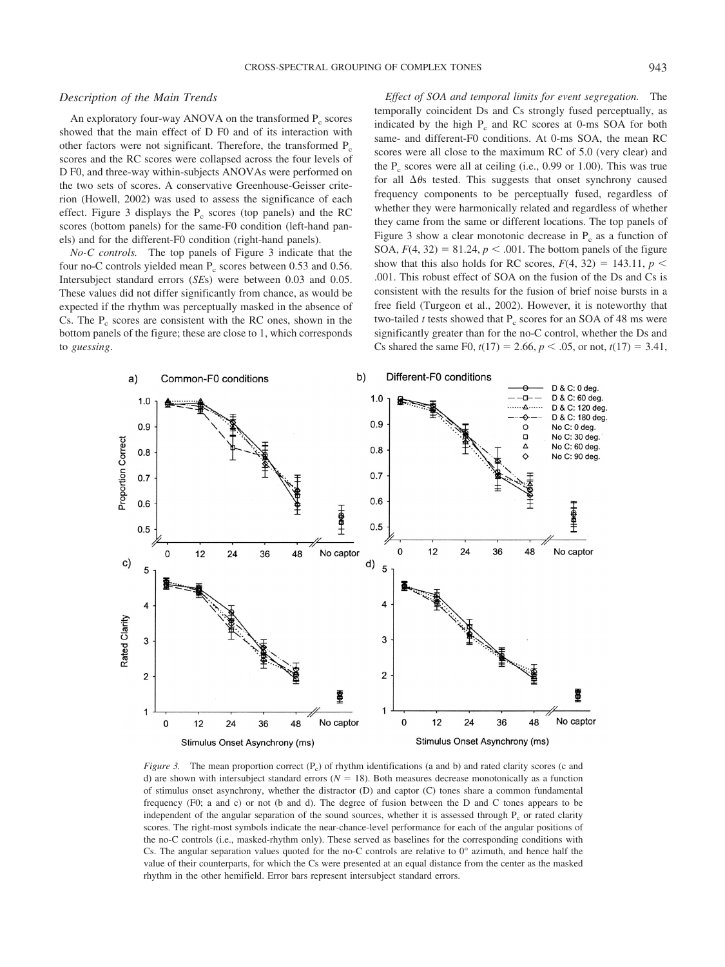#### CROSS-SPECTRAL GROUPING OF COMPLEX TONES 943

## *Description of the Main Trends*

An exploratory four-way ANOVA on the transformed  $P_c$  scores showed that the main effect of D F0 and of its interaction with other factors were not significant. Therefore, the transformed  $P_c$ scores and the RC scores were collapsed across the four levels of D F0, and three-way within-subjects ANOVAs were performed on the two sets of scores. A conservative Greenhouse-Geisser criterion (Howell, 2002) was used to assess the significance of each effect. Figure 3 displays the  $P_c$  scores (top panels) and the RC scores (bottom panels) for the same-F0 condition (left-hand panels) and for the different-F0 condition (right-hand panels).

*No-C controls.* The top panels of Figure 3 indicate that the four no-C controls yielded mean  $P_c$  scores between 0.53 and 0.56. Intersubject standard errors (*SE*s) were between 0.03 and 0.05. These values did not differ significantly from chance, as would be expected if the rhythm was perceptually masked in the absence of Cs. The  $P_c$  scores are consistent with the RC ones, shown in the bottom panels of the figure; these are close to 1, which corresponds to *guessing*.

*Effect of SOA and temporal limits for event segregation.* The temporally coincident Ds and Cs strongly fused perceptually, as indicated by the high  $P_c$  and RC scores at 0-ms SOA for both same- and different-F0 conditions. At 0-ms SOA, the mean RC scores were all close to the maximum RC of 5.0 (very clear) and the  $P_c$  scores were all at ceiling (i.e., 0.99 or 1.00). This was true for all  $\Delta \theta$ s tested. This suggests that onset synchrony caused frequency components to be perceptually fused, regardless of whether they were harmonically related and regardless of whether they came from the same or different locations. The top panels of Figure 3 show a clear monotonic decrease in  $P_c$  as a function of SOA,  $F(4, 32) = 81.24, p < .001$ . The bottom panels of the figure show that this also holds for RC scores,  $F(4, 32) = 143.11$ ,  $p <$ .001. This robust effect of SOA on the fusion of the Ds and Cs is consistent with the results for the fusion of brief noise bursts in a free field (Turgeon et al., 2002). However, it is noteworthy that two-tailed  $t$  tests showed that  $P_c$  scores for an SOA of 48 ms were significantly greater than for the no-C control, whether the Ds and Cs shared the same F0,  $t(17) = 2.66$ ,  $p < .05$ , or not,  $t(17) = 3.41$ ,



*Figure 3.* The mean proportion correct (P<sub>c</sub>) of rhythm identifications (a and b) and rated clarity scores (c and d) are shown with intersubject standard errors  $(N = 18)$ . Both measures decrease monotonically as a function of stimulus onset asynchrony, whether the distractor (D) and captor (C) tones share a common fundamental frequency (F0; a and c) or not (b and d). The degree of fusion between the D and C tones appears to be independent of the angular separation of the sound sources, whether it is assessed through  $P_c$  or rated clarity scores. The right-most symbols indicate the near-chance-level performance for each of the angular positions of the no-C controls (i.e., masked-rhythm only). These served as baselines for the corresponding conditions with Cs. The angular separation values quoted for the no-C controls are relative to  $0^\circ$  azimuth, and hence half the value of their counterparts, for which the Cs were presented at an equal distance from the center as the masked rhythm in the other hemifield. Error bars represent intersubject standard errors.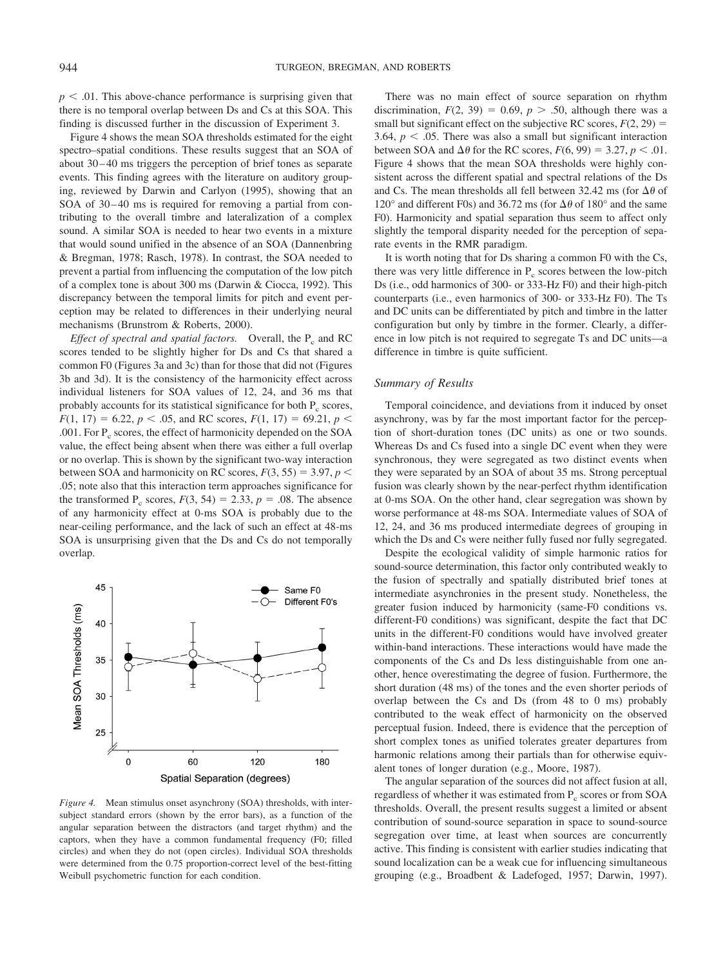$p \leq 0.01$ . This above-chance performance is surprising given that there is no temporal overlap between Ds and Cs at this SOA. This finding is discussed further in the discussion of Experiment 3.

Figure 4 shows the mean SOA thresholds estimated for the eight spectro–spatial conditions. These results suggest that an SOA of about 30 – 40 ms triggers the perception of brief tones as separate events. This finding agrees with the literature on auditory grouping, reviewed by Darwin and Carlyon (1995), showing that an SOA of 30–40 ms is required for removing a partial from contributing to the overall timbre and lateralization of a complex sound. A similar SOA is needed to hear two events in a mixture that would sound unified in the absence of an SOA (Dannenbring & Bregman, 1978; Rasch, 1978). In contrast, the SOA needed to prevent a partial from influencing the computation of the low pitch of a complex tone is about 300 ms (Darwin & Ciocca, 1992). This discrepancy between the temporal limits for pitch and event perception may be related to differences in their underlying neural mechanisms (Brunstrom & Roberts, 2000).

*Effect of spectral and spatial factors.* Overall, the P<sub>c</sub> and RC scores tended to be slightly higher for Ds and Cs that shared a common F0 (Figures 3a and 3c) than for those that did not (Figures 3b and 3d). It is the consistency of the harmonicity effect across individual listeners for SOA values of 12, 24, and 36 ms that probably accounts for its statistical significance for both  $P_c$  scores,  $F(1, 17) = 6.22, p < .05$ , and RC scores,  $F(1, 17) = 69.21, p < .05$ .001. For  $P_c$  scores, the effect of harmonicity depended on the SOA value, the effect being absent when there was either a full overlap or no overlap. This is shown by the significant two-way interaction between SOA and harmonicity on RC scores,  $F(3, 55) = 3.97$ ,  $p <$ .05; note also that this interaction term approaches significance for the transformed P<sub>c</sub> scores,  $F(3, 54) = 2.33$ ,  $p = .08$ . The absence of any harmonicity effect at 0-ms SOA is probably due to the near-ceiling performance, and the lack of such an effect at 48-ms SOA is unsurprising given that the Ds and Cs do not temporally overlap.



*Figure 4.* Mean stimulus onset asynchrony (SOA) thresholds, with intersubject standard errors (shown by the error bars), as a function of the angular separation between the distractors (and target rhythm) and the captors, when they have a common fundamental frequency (F0; filled circles) and when they do not (open circles). Individual SOA thresholds were determined from the 0.75 proportion-correct level of the best-fitting Weibull psychometric function for each condition.

There was no main effect of source separation on rhythm discrimination,  $F(2, 39) = 0.69$ ,  $p > .50$ , although there was a small but significant effect on the subjective RC scores,  $F(2, 29) =$ 3.64,  $p < .05$ . There was also a small but significant interaction between SOA and  $\Delta\theta$  for the RC scores,  $F(6, 99) = 3.27, p < .01$ . Figure 4 shows that the mean SOA thresholds were highly consistent across the different spatial and spectral relations of the Ds and Cs. The mean thresholds all fell between 32.42 ms (for  $\Delta\theta$  of 120° and different F0s) and 36.72 ms (for  $\Delta\theta$  of 180° and the same F0). Harmonicity and spatial separation thus seem to affect only slightly the temporal disparity needed for the perception of separate events in the RMR paradigm.

It is worth noting that for Ds sharing a common F0 with the Cs, there was very little difference in  $P_c$  scores between the low-pitch Ds (i.e., odd harmonics of 300- or 333-Hz F0) and their high-pitch counterparts (i.e., even harmonics of 300- or 333-Hz F0). The Ts and DC units can be differentiated by pitch and timbre in the latter configuration but only by timbre in the former. Clearly, a difference in low pitch is not required to segregate Ts and DC units—a difference in timbre is quite sufficient.

#### *Summary of Results*

Temporal coincidence, and deviations from it induced by onset asynchrony, was by far the most important factor for the perception of short-duration tones (DC units) as one or two sounds. Whereas Ds and Cs fused into a single DC event when they were synchronous, they were segregated as two distinct events when they were separated by an SOA of about 35 ms. Strong perceptual fusion was clearly shown by the near-perfect rhythm identification at 0-ms SOA. On the other hand, clear segregation was shown by worse performance at 48-ms SOA. Intermediate values of SOA of 12, 24, and 36 ms produced intermediate degrees of grouping in which the Ds and Cs were neither fully fused nor fully segregated.

Despite the ecological validity of simple harmonic ratios for sound-source determination, this factor only contributed weakly to the fusion of spectrally and spatially distributed brief tones at intermediate asynchronies in the present study. Nonetheless, the greater fusion induced by harmonicity (same-F0 conditions vs. different-F0 conditions) was significant, despite the fact that DC units in the different-F0 conditions would have involved greater within-band interactions. These interactions would have made the components of the Cs and Ds less distinguishable from one another, hence overestimating the degree of fusion. Furthermore, the short duration (48 ms) of the tones and the even shorter periods of overlap between the Cs and Ds (from 48 to 0 ms) probably contributed to the weak effect of harmonicity on the observed perceptual fusion. Indeed, there is evidence that the perception of short complex tones as unified tolerates greater departures from harmonic relations among their partials than for otherwise equivalent tones of longer duration (e.g., Moore, 1987).

The angular separation of the sources did not affect fusion at all, regardless of whether it was estimated from  $P_c$  scores or from SOA thresholds. Overall, the present results suggest a limited or absent contribution of sound-source separation in space to sound-source segregation over time, at least when sources are concurrently active. This finding is consistent with earlier studies indicating that sound localization can be a weak cue for influencing simultaneous grouping (e.g., Broadbent & Ladefoged, 1957; Darwin, 1997).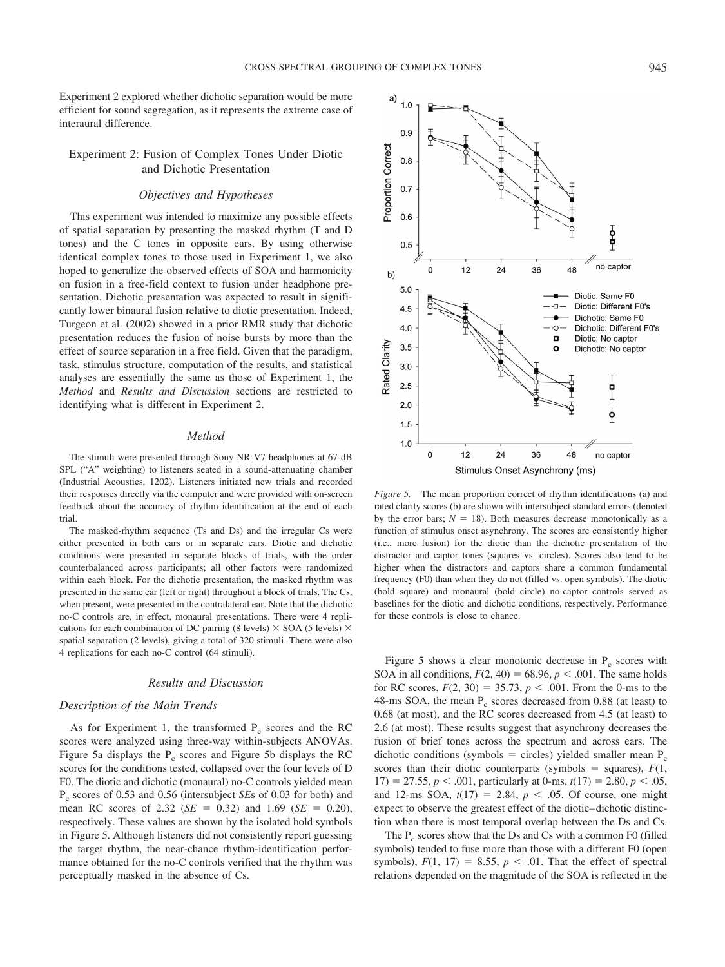Experiment 2 explored whether dichotic separation would be more efficient for sound segregation, as it represents the extreme case of interaural difference.

## Experiment 2: Fusion of Complex Tones Under Diotic and Dichotic Presentation

# *Objectives and Hypotheses*

This experiment was intended to maximize any possible effects of spatial separation by presenting the masked rhythm (T and D tones) and the C tones in opposite ears. By using otherwise identical complex tones to those used in Experiment 1, we also hoped to generalize the observed effects of SOA and harmonicity on fusion in a free-field context to fusion under headphone presentation. Dichotic presentation was expected to result in significantly lower binaural fusion relative to diotic presentation. Indeed, Turgeon et al. (2002) showed in a prior RMR study that dichotic presentation reduces the fusion of noise bursts by more than the effect of source separation in a free field. Given that the paradigm, task, stimulus structure, computation of the results, and statistical analyses are essentially the same as those of Experiment 1, the *Method* and *Results and Discussion* sections are restricted to identifying what is different in Experiment 2.

#### *Method*

The stimuli were presented through Sony NR-V7 headphones at 67-dB SPL ("A" weighting) to listeners seated in a sound-attenuating chamber (Industrial Acoustics, 1202). Listeners initiated new trials and recorded their responses directly via the computer and were provided with on-screen feedback about the accuracy of rhythm identification at the end of each trial.

The masked-rhythm sequence (Ts and Ds) and the irregular Cs were either presented in both ears or in separate ears. Diotic and dichotic conditions were presented in separate blocks of trials, with the order counterbalanced across participants; all other factors were randomized within each block. For the dichotic presentation, the masked rhythm was presented in the same ear (left or right) throughout a block of trials. The Cs, when present, were presented in the contralateral ear. Note that the dichotic no-C controls are, in effect, monaural presentations. There were 4 replications for each combination of DC pairing (8 levels)  $\times$  SOA (5 levels)  $\times$ spatial separation (2 levels), giving a total of 320 stimuli. There were also 4 replications for each no-C control (64 stimuli).

#### *Results and Discussion*

#### *Description of the Main Trends*

As for Experiment 1, the transformed  $P<sub>c</sub>$  scores and the RC scores were analyzed using three-way within-subjects ANOVAs. Figure 5a displays the  $P_c$  scores and Figure 5b displays the RC scores for the conditions tested, collapsed over the four levels of D F0. The diotic and dichotic (monaural) no-C controls yielded mean Pc scores of 0.53 and 0.56 (intersubject *SE*s of 0.03 for both) and mean RC scores of 2.32 ( $SE = 0.32$ ) and 1.69 ( $SE = 0.20$ ), respectively. These values are shown by the isolated bold symbols in Figure 5. Although listeners did not consistently report guessing the target rhythm, the near-chance rhythm-identification performance obtained for the no-C controls verified that the rhythm was perceptually masked in the absence of Cs.



*Figure 5.* The mean proportion correct of rhythm identifications (a) and rated clarity scores (b) are shown with intersubject standard errors (denoted by the error bars;  $N = 18$ ). Both measures decrease monotonically as a function of stimulus onset asynchrony. The scores are consistently higher (i.e., more fusion) for the diotic than the dichotic presentation of the distractor and captor tones (squares vs. circles). Scores also tend to be higher when the distractors and captors share a common fundamental frequency (F0) than when they do not (filled vs. open symbols). The diotic (bold square) and monaural (bold circle) no-captor controls served as baselines for the diotic and dichotic conditions, respectively. Performance for these controls is close to chance.

Figure 5 shows a clear monotonic decrease in  $P_c$  scores with SOA in all conditions,  $F(2, 40) = 68.96$ ,  $p < .001$ . The same holds for RC scores,  $F(2, 30) = 35.73$ ,  $p < .001$ . From the 0-ms to the 48-ms SOA, the mean  $P_c$  scores decreased from 0.88 (at least) to 0.68 (at most), and the RC scores decreased from 4.5 (at least) to 2.6 (at most). These results suggest that asynchrony decreases the fusion of brief tones across the spectrum and across ears. The dichotic conditions (symbols  $=$  circles) yielded smaller mean P<sub>c</sub> scores than their diotic counterparts (symbols  $=$  squares),  $F(1, 1)$  $17) = 27.55, p < .001$ , particularly at 0-ms,  $t(17) = 2.80, p < .05$ , and 12-ms SOA,  $t(17) = 2.84$ ,  $p < .05$ . Of course, one might expect to observe the greatest effect of the diotic– dichotic distinction when there is most temporal overlap between the Ds and Cs.

The  $P_c$  scores show that the Ds and Cs with a common F0 (filled symbols) tended to fuse more than those with a different F0 (open symbols),  $F(1, 17) = 8.55$ ,  $p < .01$ . That the effect of spectral relations depended on the magnitude of the SOA is reflected in the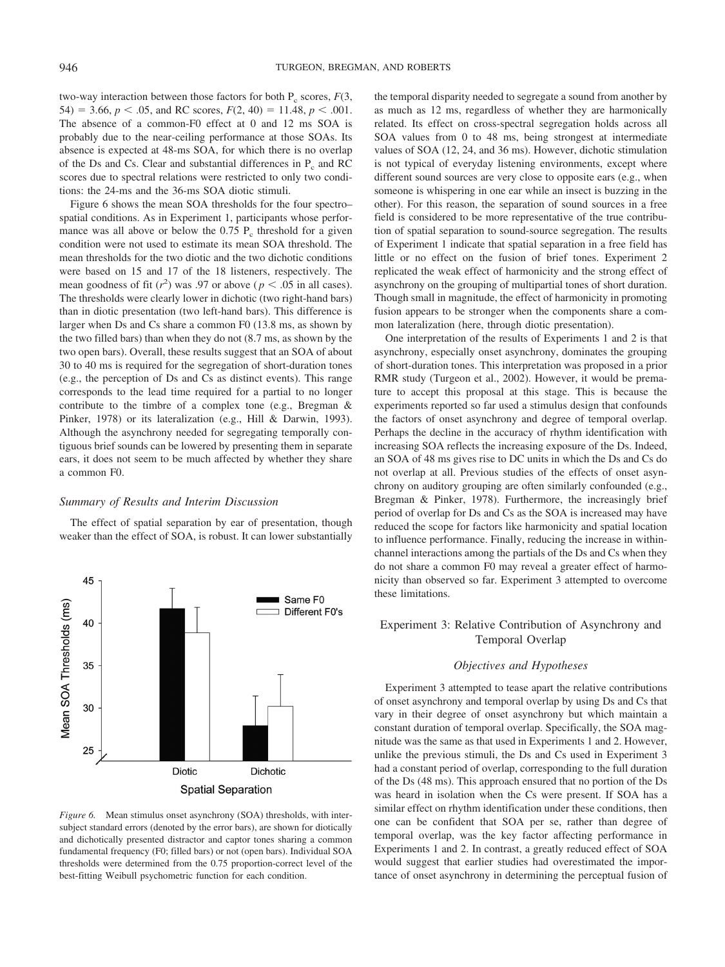two-way interaction between those factors for both  $P_c$  scores,  $F(3, \theta)$  $54$ ) = 3.66,  $p < .05$ , and RC scores,  $F(2, 40) = 11.48$ ,  $p < .001$ . The absence of a common-F0 effect at 0 and 12 ms SOA is probably due to the near-ceiling performance at those SOAs. Its absence is expected at 48-ms SOA, for which there is no overlap of the Ds and Cs. Clear and substantial differences in  $P_c$  and RC scores due to spectral relations were restricted to only two conditions: the 24-ms and the 36-ms SOA diotic stimuli.

Figure 6 shows the mean SOA thresholds for the four spectro– spatial conditions. As in Experiment 1, participants whose performance was all above or below the 0.75  $P_c$  threshold for a given condition were not used to estimate its mean SOA threshold. The mean thresholds for the two diotic and the two dichotic conditions were based on 15 and 17 of the 18 listeners, respectively. The mean goodness of fit  $(r^2)$  was .97 or above ( $p < .05$  in all cases). The thresholds were clearly lower in dichotic (two right-hand bars) than in diotic presentation (two left-hand bars). This difference is larger when Ds and Cs share a common F0 (13.8 ms, as shown by the two filled bars) than when they do not (8.7 ms, as shown by the two open bars). Overall, these results suggest that an SOA of about 30 to 40 ms is required for the segregation of short-duration tones (e.g., the perception of Ds and Cs as distinct events). This range corresponds to the lead time required for a partial to no longer contribute to the timbre of a complex tone (e.g., Bregman & Pinker, 1978) or its lateralization (e.g., Hill & Darwin, 1993). Although the asynchrony needed for segregating temporally contiguous brief sounds can be lowered by presenting them in separate ears, it does not seem to be much affected by whether they share a common F0.

#### *Summary of Results and Interim Discussion*

The effect of spatial separation by ear of presentation, though weaker than the effect of SOA, is robust. It can lower substantially



*Figure 6.* Mean stimulus onset asynchrony (SOA) thresholds, with intersubject standard errors (denoted by the error bars), are shown for diotically and dichotically presented distractor and captor tones sharing a common fundamental frequency (F0; filled bars) or not (open bars). Individual SOA thresholds were determined from the 0.75 proportion-correct level of the best-fitting Weibull psychometric function for each condition.

the temporal disparity needed to segregate a sound from another by as much as 12 ms, regardless of whether they are harmonically related. Its effect on cross-spectral segregation holds across all SOA values from 0 to 48 ms, being strongest at intermediate values of SOA (12, 24, and 36 ms). However, dichotic stimulation is not typical of everyday listening environments, except where different sound sources are very close to opposite ears (e.g., when someone is whispering in one ear while an insect is buzzing in the other). For this reason, the separation of sound sources in a free field is considered to be more representative of the true contribution of spatial separation to sound-source segregation. The results of Experiment 1 indicate that spatial separation in a free field has little or no effect on the fusion of brief tones. Experiment 2 replicated the weak effect of harmonicity and the strong effect of asynchrony on the grouping of multipartial tones of short duration. Though small in magnitude, the effect of harmonicity in promoting fusion appears to be stronger when the components share a common lateralization (here, through diotic presentation).

One interpretation of the results of Experiments 1 and 2 is that asynchrony, especially onset asynchrony, dominates the grouping of short-duration tones. This interpretation was proposed in a prior RMR study (Turgeon et al., 2002). However, it would be premature to accept this proposal at this stage. This is because the experiments reported so far used a stimulus design that confounds the factors of onset asynchrony and degree of temporal overlap. Perhaps the decline in the accuracy of rhythm identification with increasing SOA reflects the increasing exposure of the Ds. Indeed, an SOA of 48 ms gives rise to DC units in which the Ds and Cs do not overlap at all. Previous studies of the effects of onset asynchrony on auditory grouping are often similarly confounded (e.g., Bregman & Pinker, 1978). Furthermore, the increasingly brief period of overlap for Ds and Cs as the SOA is increased may have reduced the scope for factors like harmonicity and spatial location to influence performance. Finally, reducing the increase in withinchannel interactions among the partials of the Ds and Cs when they do not share a common F0 may reveal a greater effect of harmonicity than observed so far. Experiment 3 attempted to overcome these limitations.

# Experiment 3: Relative Contribution of Asynchrony and Temporal Overlap

## *Objectives and Hypotheses*

Experiment 3 attempted to tease apart the relative contributions of onset asynchrony and temporal overlap by using Ds and Cs that vary in their degree of onset asynchrony but which maintain a constant duration of temporal overlap. Specifically, the SOA magnitude was the same as that used in Experiments 1 and 2. However, unlike the previous stimuli, the Ds and Cs used in Experiment 3 had a constant period of overlap, corresponding to the full duration of the Ds (48 ms). This approach ensured that no portion of the Ds was heard in isolation when the Cs were present. If SOA has a similar effect on rhythm identification under these conditions, then one can be confident that SOA per se, rather than degree of temporal overlap, was the key factor affecting performance in Experiments 1 and 2. In contrast, a greatly reduced effect of SOA would suggest that earlier studies had overestimated the importance of onset asynchrony in determining the perceptual fusion of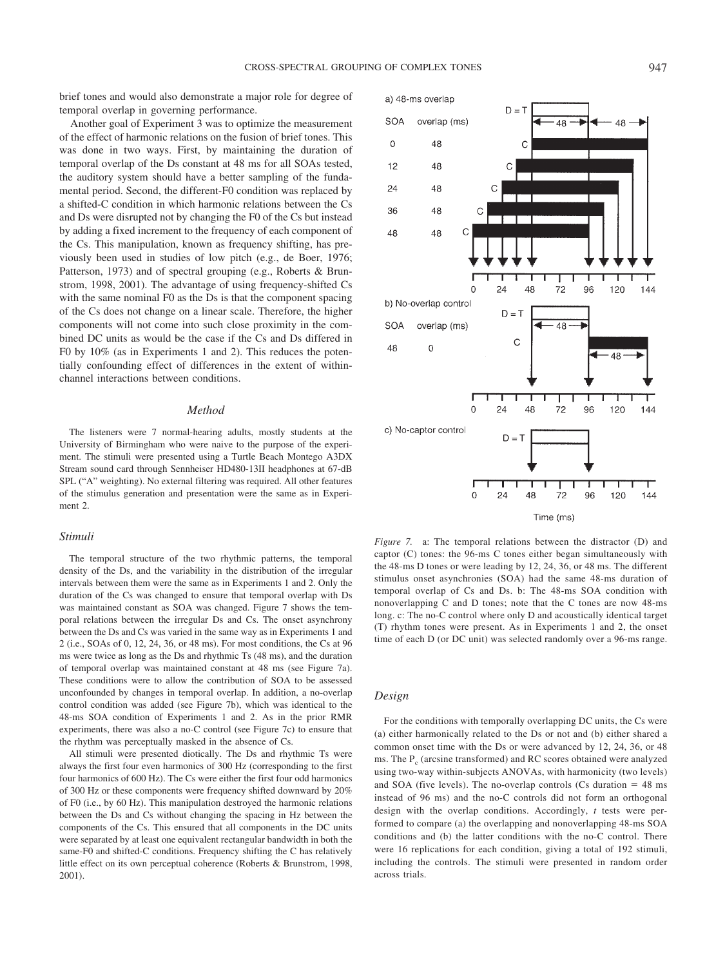brief tones and would also demonstrate a major role for degree of temporal overlap in governing performance.

Another goal of Experiment 3 was to optimize the measurement of the effect of harmonic relations on the fusion of brief tones. This was done in two ways. First, by maintaining the duration of temporal overlap of the Ds constant at 48 ms for all SOAs tested, the auditory system should have a better sampling of the fundamental period. Second, the different-F0 condition was replaced by a shifted-C condition in which harmonic relations between the Cs and Ds were disrupted not by changing the F0 of the Cs but instead by adding a fixed increment to the frequency of each component of the Cs. This manipulation, known as frequency shifting, has previously been used in studies of low pitch (e.g., de Boer, 1976; Patterson, 1973) and of spectral grouping (e.g., Roberts & Brunstrom, 1998, 2001). The advantage of using frequency-shifted Cs with the same nominal F0 as the Ds is that the component spacing of the Cs does not change on a linear scale. Therefore, the higher components will not come into such close proximity in the combined DC units as would be the case if the Cs and Ds differed in F0 by 10% (as in Experiments 1 and 2). This reduces the potentially confounding effect of differences in the extent of withinchannel interactions between conditions.

## *Method*

The listeners were 7 normal-hearing adults, mostly students at the University of Birmingham who were naive to the purpose of the experiment. The stimuli were presented using a Turtle Beach Montego A3DX Stream sound card through Sennheiser HD480-13II headphones at 67-dB SPL ("A" weighting). No external filtering was required. All other features of the stimulus generation and presentation were the same as in Experiment 2.

## *Stimuli*

The temporal structure of the two rhythmic patterns, the temporal density of the Ds, and the variability in the distribution of the irregular intervals between them were the same as in Experiments 1 and 2. Only the duration of the Cs was changed to ensure that temporal overlap with Ds was maintained constant as SOA was changed. Figure 7 shows the temporal relations between the irregular Ds and Cs. The onset asynchrony between the Ds and Cs was varied in the same way as in Experiments 1 and 2 (i.e., SOAs of 0, 12, 24, 36, or 48 ms). For most conditions, the Cs at 96 ms were twice as long as the Ds and rhythmic Ts (48 ms), and the duration of temporal overlap was maintained constant at 48 ms (see Figure 7a). These conditions were to allow the contribution of SOA to be assessed unconfounded by changes in temporal overlap. In addition, a no-overlap control condition was added (see Figure 7b), which was identical to the 48-ms SOA condition of Experiments 1 and 2. As in the prior RMR experiments, there was also a no-C control (see Figure 7c) to ensure that the rhythm was perceptually masked in the absence of Cs.

All stimuli were presented diotically. The Ds and rhythmic Ts were always the first four even harmonics of 300 Hz (corresponding to the first four harmonics of 600 Hz). The Cs were either the first four odd harmonics of 300 Hz or these components were frequency shifted downward by 20% of F0 (i.e., by 60 Hz). This manipulation destroyed the harmonic relations between the Ds and Cs without changing the spacing in Hz between the components of the Cs. This ensured that all components in the DC units were separated by at least one equivalent rectangular bandwidth in both the same-F0 and shifted-C conditions. Frequency shifting the C has relatively little effect on its own perceptual coherence (Roberts & Brunstrom, 1998, 2001).



*Figure 7.* a: The temporal relations between the distractor (D) and captor (C) tones: the 96-ms C tones either began simultaneously with the 48-ms D tones or were leading by 12, 24, 36, or 48 ms. The different stimulus onset asynchronies (SOA) had the same 48-ms duration of temporal overlap of Cs and Ds. b: The 48-ms SOA condition with nonoverlapping C and D tones; note that the C tones are now 48-ms long. c: The no-C control where only D and acoustically identical target (T) rhythm tones were present. As in Experiments 1 and 2, the onset time of each D (or DC unit) was selected randomly over a 96-ms range.

#### *Design*

For the conditions with temporally overlapping DC units, the Cs were (a) either harmonically related to the Ds or not and (b) either shared a common onset time with the Ds or were advanced by 12, 24, 36, or 48 ms. The  $P_c$  (arcsine transformed) and RC scores obtained were analyzed using two-way within-subjects ANOVAs, with harmonicity (two levels) and SOA (five levels). The no-overlap controls (Cs duration  $= 48$  ms instead of 96 ms) and the no-C controls did not form an orthogonal design with the overlap conditions. Accordingly, *t* tests were performed to compare (a) the overlapping and nonoverlapping 48-ms SOA conditions and (b) the latter conditions with the no-C control. There were 16 replications for each condition, giving a total of 192 stimuli, including the controls. The stimuli were presented in random order across trials.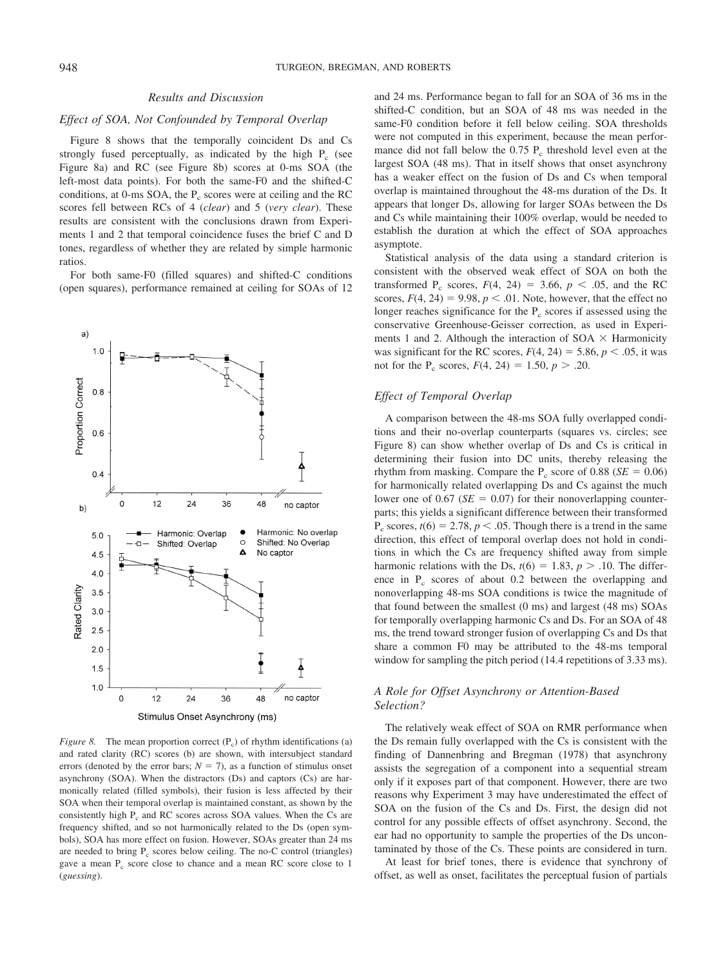#### *Results and Discussion*

## *Effect of SOA, Not Confounded by Temporal Overlap*

Figure 8 shows that the temporally coincident Ds and Cs strongly fused perceptually, as indicated by the high  $P_c$  (see Figure 8a) and RC (see Figure 8b) scores at 0-ms SOA (the left-most data points). For both the same-F0 and the shifted-C conditions, at 0-ms SOA, the  $P_c$  scores were at ceiling and the RC scores fell between RCs of 4 (*clear*) and 5 (*very clear*). These results are consistent with the conclusions drawn from Experiments 1 and 2 that temporal coincidence fuses the brief C and D tones, regardless of whether they are related by simple harmonic ratios.

For both same-F0 (filled squares) and shifted-C conditions (open squares), performance remained at ceiling for SOAs of 12



*Figure 8.* The mean proportion correct  $(P_0)$  of rhythm identifications (a) and rated clarity (RC) scores (b) are shown, with intersubject standard errors (denoted by the error bars;  $N = 7$ ), as a function of stimulus onset asynchrony (SOA). When the distractors (Ds) and captors (Cs) are harmonically related (filled symbols), their fusion is less affected by their SOA when their temporal overlap is maintained constant, as shown by the consistently high  $P_c$  and RC scores across SOA values. When the Cs are frequency shifted, and so not harmonically related to the Ds (open symbols), SOA has more effect on fusion. However, SOAs greater than 24 ms are needed to bring  $P_c$  scores below ceiling. The no-C control (triangles) gave a mean P<sub>c</sub> score close to chance and a mean RC score close to 1 (*guessing*).

and 24 ms. Performance began to fall for an SOA of 36 ms in the shifted-C condition, but an SOA of 48 ms was needed in the same-F0 condition before it fell below ceiling. SOA thresholds were not computed in this experiment, because the mean performance did not fall below the  $0.75$  P<sub>c</sub> threshold level even at the largest SOA (48 ms). That in itself shows that onset asynchrony has a weaker effect on the fusion of Ds and Cs when temporal overlap is maintained throughout the 48-ms duration of the Ds. It appears that longer Ds, allowing for larger SOAs between the Ds and Cs while maintaining their 100% overlap, would be needed to establish the duration at which the effect of SOA approaches asymptote.

Statistical analysis of the data using a standard criterion is consistent with the observed weak effect of SOA on both the transformed P<sub>c</sub> scores,  $F(4, 24) = 3.66$ ,  $p < .05$ , and the RC scores,  $F(4, 24) = 9.98$ ,  $p < .01$ . Note, however, that the effect no longer reaches significance for the  $P<sub>c</sub>$  scores if assessed using the conservative Greenhouse-Geisser correction, as used in Experiments 1 and 2. Although the interaction of  $SOA \times$  Harmonicity was significant for the RC scores,  $F(4, 24) = 5.86$ ,  $p < .05$ , it was not for the P<sub>c</sub> scores,  $F(4, 24) = 1.50, p > .20$ .

## *Effect of Temporal Overlap*

A comparison between the 48-ms SOA fully overlapped conditions and their no-overlap counterparts (squares vs. circles; see Figure 8) can show whether overlap of Ds and Cs is critical in determining their fusion into DC units, thereby releasing the rhythm from masking. Compare the  $P_c$  score of 0.88 ( $SE = 0.06$ ) for harmonically related overlapping Ds and Cs against the much lower one of  $0.67$  (*SE* = 0.07) for their nonoverlapping counterparts; this yields a significant difference between their transformed  $P_c$  scores,  $t(6) = 2.78$ ,  $p < .05$ . Though there is a trend in the same direction, this effect of temporal overlap does not hold in conditions in which the Cs are frequency shifted away from simple harmonic relations with the Ds,  $t(6) = 1.83$ ,  $p > .10$ . The difference in  $P_c$  scores of about 0.2 between the overlapping and nonoverlapping 48-ms SOA conditions is twice the magnitude of that found between the smallest (0 ms) and largest (48 ms) SOAs for temporally overlapping harmonic Cs and Ds. For an SOA of 48 ms, the trend toward stronger fusion of overlapping Cs and Ds that share a common F0 may be attributed to the 48-ms temporal window for sampling the pitch period (14.4 repetitions of 3.33 ms).

# *A Role for Offset Asynchrony or Attention-Based Selection?*

The relatively weak effect of SOA on RMR performance when the Ds remain fully overlapped with the Cs is consistent with the finding of Dannenbring and Bregman (1978) that asynchrony assists the segregation of a component into a sequential stream only if it exposes part of that component. However, there are two reasons why Experiment 3 may have underestimated the effect of SOA on the fusion of the Cs and Ds. First, the design did not control for any possible effects of offset asynchrony. Second, the ear had no opportunity to sample the properties of the Ds uncontaminated by those of the Cs. These points are considered in turn.

At least for brief tones, there is evidence that synchrony of offset, as well as onset, facilitates the perceptual fusion of partials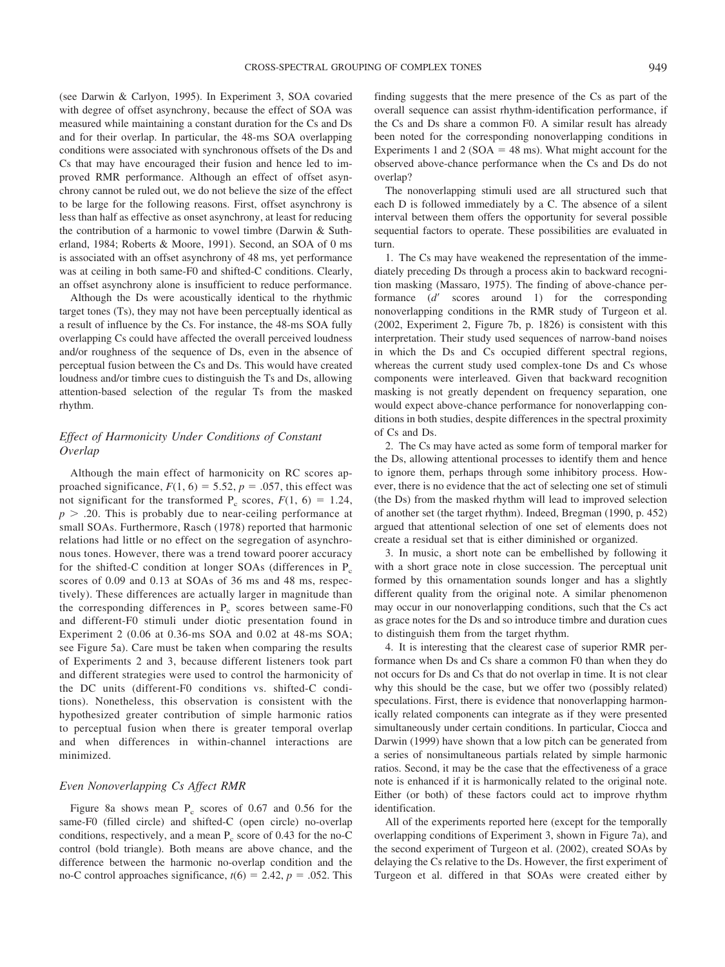(see Darwin & Carlyon, 1995). In Experiment 3, SOA covaried with degree of offset asynchrony, because the effect of SOA was measured while maintaining a constant duration for the Cs and Ds and for their overlap. In particular, the 48-ms SOA overlapping conditions were associated with synchronous offsets of the Ds and Cs that may have encouraged their fusion and hence led to improved RMR performance. Although an effect of offset asynchrony cannot be ruled out, we do not believe the size of the effect to be large for the following reasons. First, offset asynchrony is less than half as effective as onset asynchrony, at least for reducing the contribution of a harmonic to vowel timbre (Darwin & Sutherland, 1984; Roberts & Moore, 1991). Second, an SOA of 0 ms is associated with an offset asynchrony of 48 ms, yet performance was at ceiling in both same-F0 and shifted-C conditions. Clearly, an offset asynchrony alone is insufficient to reduce performance.

Although the Ds were acoustically identical to the rhythmic target tones (Ts), they may not have been perceptually identical as a result of influence by the Cs. For instance, the 48-ms SOA fully overlapping Cs could have affected the overall perceived loudness and/or roughness of the sequence of Ds, even in the absence of perceptual fusion between the Cs and Ds. This would have created loudness and/or timbre cues to distinguish the Ts and Ds, allowing attention-based selection of the regular Ts from the masked rhythm.

## *Effect of Harmonicity Under Conditions of Constant Overlap*

Although the main effect of harmonicity on RC scores approached significance,  $F(1, 6) = 5.52$ ,  $p = .057$ , this effect was not significant for the transformed  $P_c$  scores,  $F(1, 6) = 1.24$ ,  $p > .20$ . This is probably due to near-ceiling performance at small SOAs. Furthermore, Rasch (1978) reported that harmonic relations had little or no effect on the segregation of asynchronous tones. However, there was a trend toward poorer accuracy for the shifted-C condition at longer SOAs (differences in  $P_c$ scores of 0.09 and 0.13 at SOAs of 36 ms and 48 ms, respectively). These differences are actually larger in magnitude than the corresponding differences in  $P_c$  scores between same-F0 and different-F0 stimuli under diotic presentation found in Experiment 2 (0.06 at 0.36-ms SOA and 0.02 at 48-ms SOA; see Figure 5a). Care must be taken when comparing the results of Experiments 2 and 3, because different listeners took part and different strategies were used to control the harmonicity of the DC units (different-F0 conditions vs. shifted-C conditions). Nonetheless, this observation is consistent with the hypothesized greater contribution of simple harmonic ratios to perceptual fusion when there is greater temporal overlap and when differences in within-channel interactions are minimized.

## *Even Nonoverlapping Cs Affect RMR*

Figure 8a shows mean  $P_c$  scores of 0.67 and 0.56 for the same-F0 (filled circle) and shifted-C (open circle) no-overlap conditions, respectively, and a mean  $P_c$  score of 0.43 for the no-C control (bold triangle). Both means are above chance, and the difference between the harmonic no-overlap condition and the no-C control approaches significance,  $t(6) = 2.42$ ,  $p = .052$ . This finding suggests that the mere presence of the Cs as part of the overall sequence can assist rhythm-identification performance, if the Cs and Ds share a common F0. A similar result has already been noted for the corresponding nonoverlapping conditions in Experiments 1 and 2 (SOA  $=$  48 ms). What might account for the observed above-chance performance when the Cs and Ds do not overlap?

The nonoverlapping stimuli used are all structured such that each D is followed immediately by a C. The absence of a silent interval between them offers the opportunity for several possible sequential factors to operate. These possibilities are evaluated in turn.

1. The Cs may have weakened the representation of the immediately preceding Ds through a process akin to backward recognition masking (Massaro, 1975). The finding of above-chance performance (*d'* scores around 1) for the corresponding nonoverlapping conditions in the RMR study of Turgeon et al. (2002, Experiment 2, Figure 7b, p. 1826) is consistent with this interpretation. Their study used sequences of narrow-band noises in which the Ds and Cs occupied different spectral regions, whereas the current study used complex-tone Ds and Cs whose components were interleaved. Given that backward recognition masking is not greatly dependent on frequency separation, one would expect above-chance performance for nonoverlapping conditions in both studies, despite differences in the spectral proximity of Cs and Ds.

2. The Cs may have acted as some form of temporal marker for the Ds, allowing attentional processes to identify them and hence to ignore them, perhaps through some inhibitory process. However, there is no evidence that the act of selecting one set of stimuli (the Ds) from the masked rhythm will lead to improved selection of another set (the target rhythm). Indeed, Bregman (1990, p. 452) argued that attentional selection of one set of elements does not create a residual set that is either diminished or organized.

3. In music, a short note can be embellished by following it with a short grace note in close succession. The perceptual unit formed by this ornamentation sounds longer and has a slightly different quality from the original note. A similar phenomenon may occur in our nonoverlapping conditions, such that the Cs act as grace notes for the Ds and so introduce timbre and duration cues to distinguish them from the target rhythm.

4. It is interesting that the clearest case of superior RMR performance when Ds and Cs share a common F0 than when they do not occurs for Ds and Cs that do not overlap in time. It is not clear why this should be the case, but we offer two (possibly related) speculations. First, there is evidence that nonoverlapping harmonically related components can integrate as if they were presented simultaneously under certain conditions. In particular, Ciocca and Darwin (1999) have shown that a low pitch can be generated from a series of nonsimultaneous partials related by simple harmonic ratios. Second, it may be the case that the effectiveness of a grace note is enhanced if it is harmonically related to the original note. Either (or both) of these factors could act to improve rhythm identification.

All of the experiments reported here (except for the temporally overlapping conditions of Experiment 3, shown in Figure 7a), and the second experiment of Turgeon et al. (2002), created SOAs by delaying the Cs relative to the Ds. However, the first experiment of Turgeon et al. differed in that SOAs were created either by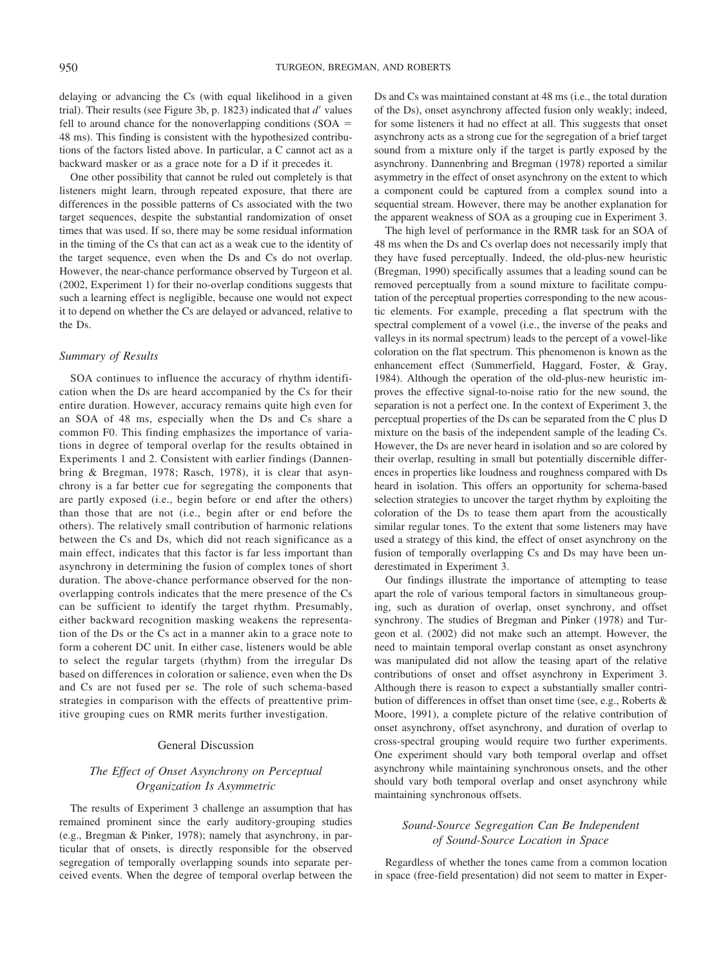delaying or advancing the Cs (with equal likelihood in a given trial). Their results (see Figure 3b, p. 1823) indicated that *d'* values fell to around chance for the nonoverlapping conditions  $(SOA =$ 48 ms). This finding is consistent with the hypothesized contributions of the factors listed above. In particular, a C cannot act as a backward masker or as a grace note for a D if it precedes it.

One other possibility that cannot be ruled out completely is that listeners might learn, through repeated exposure, that there are differences in the possible patterns of Cs associated with the two target sequences, despite the substantial randomization of onset times that was used. If so, there may be some residual information in the timing of the Cs that can act as a weak cue to the identity of the target sequence, even when the Ds and Cs do not overlap. However, the near-chance performance observed by Turgeon et al. (2002, Experiment 1) for their no-overlap conditions suggests that such a learning effect is negligible, because one would not expect it to depend on whether the Cs are delayed or advanced, relative to the Ds.

## *Summary of Results*

SOA continues to influence the accuracy of rhythm identification when the Ds are heard accompanied by the Cs for their entire duration. However, accuracy remains quite high even for an SOA of 48 ms, especially when the Ds and Cs share a common F0. This finding emphasizes the importance of variations in degree of temporal overlap for the results obtained in Experiments 1 and 2. Consistent with earlier findings (Dannenbring & Bregman, 1978; Rasch, 1978), it is clear that asynchrony is a far better cue for segregating the components that are partly exposed (i.e., begin before or end after the others) than those that are not (i.e., begin after or end before the others). The relatively small contribution of harmonic relations between the Cs and Ds, which did not reach significance as a main effect, indicates that this factor is far less important than asynchrony in determining the fusion of complex tones of short duration. The above-chance performance observed for the nonoverlapping controls indicates that the mere presence of the Cs can be sufficient to identify the target rhythm. Presumably, either backward recognition masking weakens the representation of the Ds or the Cs act in a manner akin to a grace note to form a coherent DC unit. In either case, listeners would be able to select the regular targets (rhythm) from the irregular Ds based on differences in coloration or salience, even when the Ds and Cs are not fused per se. The role of such schema-based strategies in comparison with the effects of preattentive primitive grouping cues on RMR merits further investigation.

#### General Discussion

# *The Effect of Onset Asynchrony on Perceptual Organization Is Asymmetric*

The results of Experiment 3 challenge an assumption that has remained prominent since the early auditory-grouping studies (e.g., Bregman & Pinker, 1978); namely that asynchrony, in particular that of onsets, is directly responsible for the observed segregation of temporally overlapping sounds into separate perceived events. When the degree of temporal overlap between the Ds and Cs was maintained constant at 48 ms (i.e., the total duration of the Ds), onset asynchrony affected fusion only weakly; indeed, for some listeners it had no effect at all. This suggests that onset asynchrony acts as a strong cue for the segregation of a brief target sound from a mixture only if the target is partly exposed by the asynchrony. Dannenbring and Bregman (1978) reported a similar asymmetry in the effect of onset asynchrony on the extent to which a component could be captured from a complex sound into a sequential stream. However, there may be another explanation for the apparent weakness of SOA as a grouping cue in Experiment 3.

The high level of performance in the RMR task for an SOA of 48 ms when the Ds and Cs overlap does not necessarily imply that they have fused perceptually. Indeed, the old-plus-new heuristic (Bregman, 1990) specifically assumes that a leading sound can be removed perceptually from a sound mixture to facilitate computation of the perceptual properties corresponding to the new acoustic elements. For example, preceding a flat spectrum with the spectral complement of a vowel (i.e., the inverse of the peaks and valleys in its normal spectrum) leads to the percept of a vowel-like coloration on the flat spectrum. This phenomenon is known as the enhancement effect (Summerfield, Haggard, Foster, & Gray, 1984). Although the operation of the old-plus-new heuristic improves the effective signal-to-noise ratio for the new sound, the separation is not a perfect one. In the context of Experiment 3, the perceptual properties of the Ds can be separated from the C plus D mixture on the basis of the independent sample of the leading Cs. However, the Ds are never heard in isolation and so are colored by their overlap, resulting in small but potentially discernible differences in properties like loudness and roughness compared with Ds heard in isolation. This offers an opportunity for schema-based selection strategies to uncover the target rhythm by exploiting the coloration of the Ds to tease them apart from the acoustically similar regular tones. To the extent that some listeners may have used a strategy of this kind, the effect of onset asynchrony on the fusion of temporally overlapping Cs and Ds may have been underestimated in Experiment 3.

Our findings illustrate the importance of attempting to tease apart the role of various temporal factors in simultaneous grouping, such as duration of overlap, onset synchrony, and offset synchrony. The studies of Bregman and Pinker (1978) and Turgeon et al. (2002) did not make such an attempt. However, the need to maintain temporal overlap constant as onset asynchrony was manipulated did not allow the teasing apart of the relative contributions of onset and offset asynchrony in Experiment 3. Although there is reason to expect a substantially smaller contribution of differences in offset than onset time (see, e.g., Roberts & Moore, 1991), a complete picture of the relative contribution of onset asynchrony, offset asynchrony, and duration of overlap to cross-spectral grouping would require two further experiments. One experiment should vary both temporal overlap and offset asynchrony while maintaining synchronous onsets, and the other should vary both temporal overlap and onset asynchrony while maintaining synchronous offsets.

# *Sound-Source Segregation Can Be Independent of Sound-Source Location in Space*

Regardless of whether the tones came from a common location in space (free-field presentation) did not seem to matter in Exper-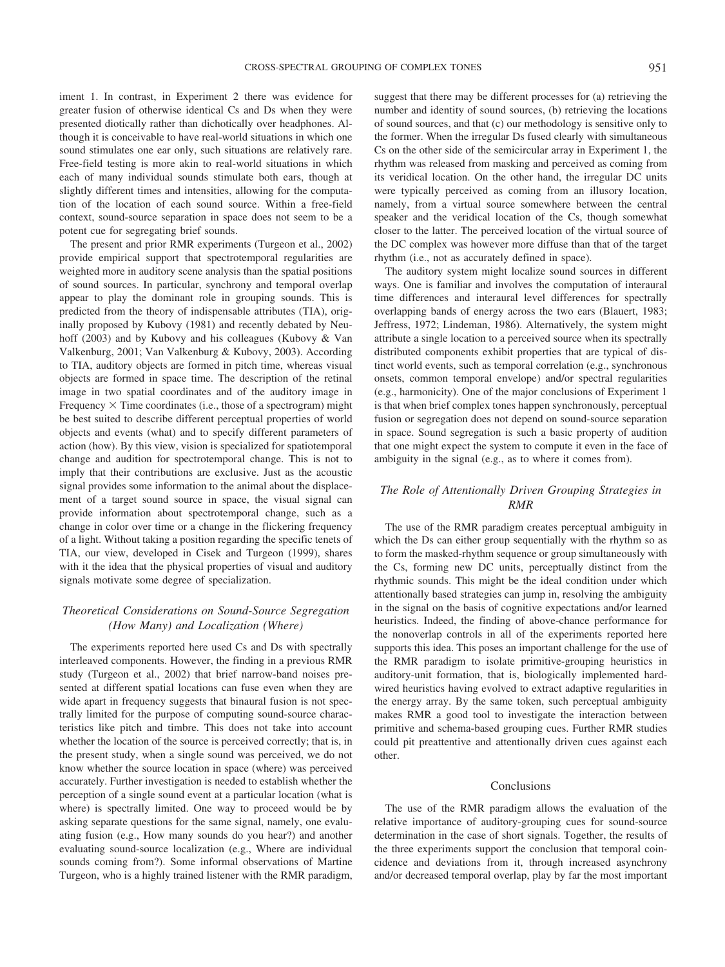iment 1. In contrast, in Experiment 2 there was evidence for greater fusion of otherwise identical Cs and Ds when they were presented diotically rather than dichotically over headphones. Although it is conceivable to have real-world situations in which one sound stimulates one ear only, such situations are relatively rare. Free-field testing is more akin to real-world situations in which each of many individual sounds stimulate both ears, though at slightly different times and intensities, allowing for the computation of the location of each sound source. Within a free-field context, sound-source separation in space does not seem to be a potent cue for segregating brief sounds.

The present and prior RMR experiments (Turgeon et al., 2002) provide empirical support that spectrotemporal regularities are weighted more in auditory scene analysis than the spatial positions of sound sources. In particular, synchrony and temporal overlap appear to play the dominant role in grouping sounds. This is predicted from the theory of indispensable attributes (TIA), originally proposed by Kubovy (1981) and recently debated by Neuhoff (2003) and by Kubovy and his colleagues (Kubovy & Van Valkenburg, 2001; Van Valkenburg & Kubovy, 2003). According to TIA, auditory objects are formed in pitch time, whereas visual objects are formed in space time. The description of the retinal image in two spatial coordinates and of the auditory image in Frequency  $\times$  Time coordinates (i.e., those of a spectrogram) might be best suited to describe different perceptual properties of world objects and events (what) and to specify different parameters of action (how). By this view, vision is specialized for spatiotemporal change and audition for spectrotemporal change. This is not to imply that their contributions are exclusive. Just as the acoustic signal provides some information to the animal about the displacement of a target sound source in space, the visual signal can provide information about spectrotemporal change, such as a change in color over time or a change in the flickering frequency of a light. Without taking a position regarding the specific tenets of TIA, our view, developed in Cisek and Turgeon (1999), shares with it the idea that the physical properties of visual and auditory signals motivate some degree of specialization.

# *Theoretical Considerations on Sound-Source Segregation (How Many) and Localization (Where)*

The experiments reported here used Cs and Ds with spectrally interleaved components. However, the finding in a previous RMR study (Turgeon et al., 2002) that brief narrow-band noises presented at different spatial locations can fuse even when they are wide apart in frequency suggests that binaural fusion is not spectrally limited for the purpose of computing sound-source characteristics like pitch and timbre. This does not take into account whether the location of the source is perceived correctly; that is, in the present study, when a single sound was perceived, we do not know whether the source location in space (where) was perceived accurately. Further investigation is needed to establish whether the perception of a single sound event at a particular location (what is where) is spectrally limited. One way to proceed would be by asking separate questions for the same signal, namely, one evaluating fusion (e.g., How many sounds do you hear?) and another evaluating sound-source localization (e.g., Where are individual sounds coming from?). Some informal observations of Martine Turgeon, who is a highly trained listener with the RMR paradigm,

suggest that there may be different processes for (a) retrieving the number and identity of sound sources, (b) retrieving the locations of sound sources, and that (c) our methodology is sensitive only to the former. When the irregular Ds fused clearly with simultaneous Cs on the other side of the semicircular array in Experiment 1, the rhythm was released from masking and perceived as coming from its veridical location. On the other hand, the irregular DC units were typically perceived as coming from an illusory location, namely, from a virtual source somewhere between the central speaker and the veridical location of the Cs, though somewhat closer to the latter. The perceived location of the virtual source of the DC complex was however more diffuse than that of the target rhythm (i.e., not as accurately defined in space).

The auditory system might localize sound sources in different ways. One is familiar and involves the computation of interaural time differences and interaural level differences for spectrally overlapping bands of energy across the two ears (Blauert, 1983; Jeffress, 1972; Lindeman, 1986). Alternatively, the system might attribute a single location to a perceived source when its spectrally distributed components exhibit properties that are typical of distinct world events, such as temporal correlation (e.g., synchronous onsets, common temporal envelope) and/or spectral regularities (e.g., harmonicity). One of the major conclusions of Experiment 1 is that when brief complex tones happen synchronously, perceptual fusion or segregation does not depend on sound-source separation in space. Sound segregation is such a basic property of audition that one might expect the system to compute it even in the face of ambiguity in the signal (e.g., as to where it comes from).

# *The Role of Attentionally Driven Grouping Strategies in RMR*

The use of the RMR paradigm creates perceptual ambiguity in which the Ds can either group sequentially with the rhythm so as to form the masked-rhythm sequence or group simultaneously with the Cs, forming new DC units, perceptually distinct from the rhythmic sounds. This might be the ideal condition under which attentionally based strategies can jump in, resolving the ambiguity in the signal on the basis of cognitive expectations and/or learned heuristics. Indeed, the finding of above-chance performance for the nonoverlap controls in all of the experiments reported here supports this idea. This poses an important challenge for the use of the RMR paradigm to isolate primitive-grouping heuristics in auditory-unit formation, that is, biologically implemented hardwired heuristics having evolved to extract adaptive regularities in the energy array. By the same token, such perceptual ambiguity makes RMR a good tool to investigate the interaction between primitive and schema-based grouping cues. Further RMR studies could pit preattentive and attentionally driven cues against each other.

## Conclusions

The use of the RMR paradigm allows the evaluation of the relative importance of auditory-grouping cues for sound-source determination in the case of short signals. Together, the results of the three experiments support the conclusion that temporal coincidence and deviations from it, through increased asynchrony and/or decreased temporal overlap, play by far the most important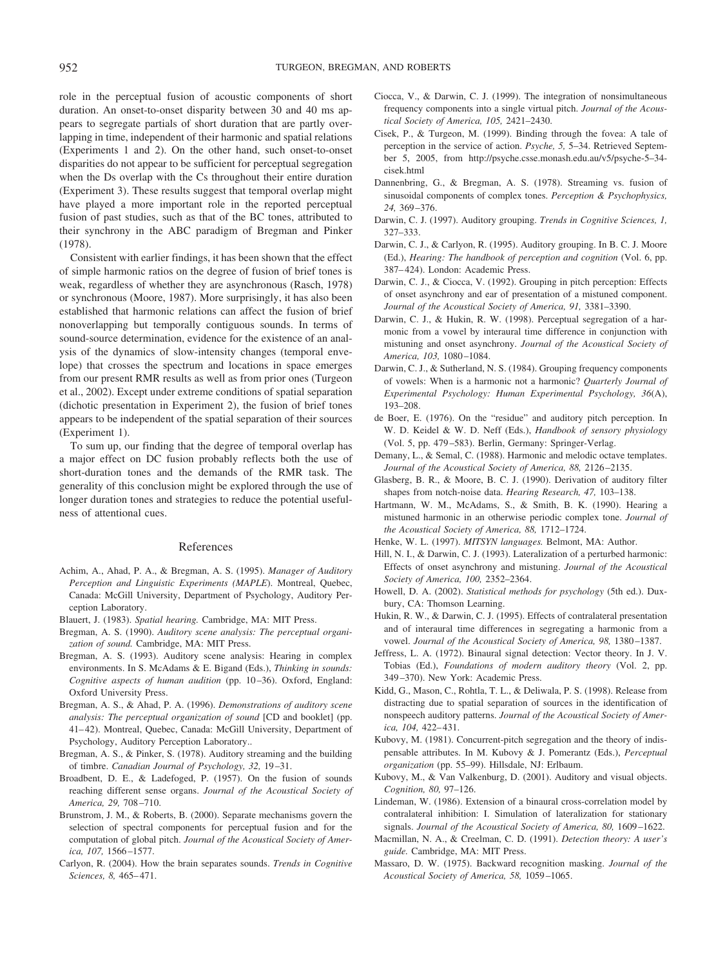role in the perceptual fusion of acoustic components of short duration. An onset-to-onset disparity between 30 and 40 ms appears to segregate partials of short duration that are partly overlapping in time, independent of their harmonic and spatial relations (Experiments 1 and 2). On the other hand, such onset-to-onset disparities do not appear to be sufficient for perceptual segregation when the Ds overlap with the Cs throughout their entire duration (Experiment 3). These results suggest that temporal overlap might have played a more important role in the reported perceptual fusion of past studies, such as that of the BC tones, attributed to their synchrony in the ABC paradigm of Bregman and Pinker (1978).

Consistent with earlier findings, it has been shown that the effect of simple harmonic ratios on the degree of fusion of brief tones is weak, regardless of whether they are asynchronous (Rasch, 1978) or synchronous (Moore, 1987). More surprisingly, it has also been established that harmonic relations can affect the fusion of brief nonoverlapping but temporally contiguous sounds. In terms of sound-source determination, evidence for the existence of an analysis of the dynamics of slow-intensity changes (temporal envelope) that crosses the spectrum and locations in space emerges from our present RMR results as well as from prior ones (Turgeon et al., 2002). Except under extreme conditions of spatial separation (dichotic presentation in Experiment 2), the fusion of brief tones appears to be independent of the spatial separation of their sources (Experiment 1).

To sum up, our finding that the degree of temporal overlap has a major effect on DC fusion probably reflects both the use of short-duration tones and the demands of the RMR task. The generality of this conclusion might be explored through the use of longer duration tones and strategies to reduce the potential usefulness of attentional cues.

#### References

- Achim, A., Ahad, P. A., & Bregman, A. S. (1995). *Manager of Auditory Perception and Linguistic Experiments (MAPLE*). Montreal, Quebec, Canada: McGill University, Department of Psychology, Auditory Perception Laboratory.
- Blauert, J. (1983). *Spatial hearing.* Cambridge, MA: MIT Press.
- Bregman, A. S. (1990). *Auditory scene analysis: The perceptual organization of sound.* Cambridge, MA: MIT Press.
- Bregman, A. S. (1993). Auditory scene analysis: Hearing in complex environments. In S. McAdams & E. Bigand (Eds.), *Thinking in sounds: Cognitive aspects of human audition* (pp. 10 –36). Oxford, England: Oxford University Press.
- Bregman, A. S., & Ahad, P. A. (1996). *Demonstrations of auditory scene analysis: The perceptual organization of sound* [CD and booklet] (pp. 41– 42). Montreal, Quebec, Canada: McGill University, Department of Psychology, Auditory Perception Laboratory..
- Bregman, A. S., & Pinker, S. (1978). Auditory streaming and the building of timbre. *Canadian Journal of Psychology, 32,* 19 –31.
- Broadbent, D. E., & Ladefoged, P. (1957). On the fusion of sounds reaching different sense organs. *Journal of the Acoustical Society of America, 29,* 708 –710.
- Brunstrom, J. M., & Roberts, B. (2000). Separate mechanisms govern the selection of spectral components for perceptual fusion and for the computation of global pitch. *Journal of the Acoustical Society of America, 107,* 1566 –1577.
- Carlyon, R. (2004). How the brain separates sounds. *Trends in Cognitive Sciences, 8,* 465– 471.
- Ciocca, V., & Darwin, C. J. (1999). The integration of nonsimultaneous frequency components into a single virtual pitch. *Journal of the Acoustical Society of America, 105,* 2421–2430.
- Cisek, P., & Turgeon, M. (1999). Binding through the fovea: A tale of perception in the service of action. *Psyche, 5,* 5–34. Retrieved September 5, 2005, from http://psyche.csse.monash.edu.au/v5/psyche-5–34 cisek.html
- Dannenbring, G., & Bregman, A. S. (1978). Streaming vs. fusion of sinusoidal components of complex tones. *Perception & Psychophysics, 24,* 369 –376.
- Darwin, C. J. (1997). Auditory grouping. *Trends in Cognitive Sciences, 1,* 327–333.
- Darwin, C. J., & Carlyon, R. (1995). Auditory grouping. In B. C. J. Moore (Ed.), *Hearing: The handbook of perception and cognition* (Vol. 6, pp. 387– 424). London: Academic Press.
- Darwin, C. J., & Ciocca, V. (1992). Grouping in pitch perception: Effects of onset asynchrony and ear of presentation of a mistuned component. *Journal of the Acoustical Society of America, 91,* 3381–3390.
- Darwin, C. J., & Hukin, R. W. (1998). Perceptual segregation of a harmonic from a vowel by interaural time difference in conjunction with mistuning and onset asynchrony. *Journal of the Acoustical Society of America, 103,* 1080 –1084.
- Darwin, C. J., & Sutherland, N. S. (1984). Grouping frequency components of vowels: When is a harmonic not a harmonic? *Quarterly Journal of Experimental Psychology: Human Experimental Psychology, 36*(A), 193–208.
- de Boer, E. (1976). On the "residue" and auditory pitch perception. In W. D. Keidel & W. D. Neff (Eds.), *Handbook of sensory physiology* (Vol. 5, pp. 479 –583). Berlin, Germany: Springer-Verlag.
- Demany, L., & Semal, C. (1988). Harmonic and melodic octave templates. *Journal of the Acoustical Society of America, 88,* 2126 –2135.
- Glasberg, B. R., & Moore, B. C. J. (1990). Derivation of auditory filter shapes from notch-noise data. *Hearing Research, 47,* 103–138.
- Hartmann, W. M., McAdams, S., & Smith, B. K. (1990). Hearing a mistuned harmonic in an otherwise periodic complex tone. *Journal of the Acoustical Society of America, 88,* 1712–1724.
- Henke, W. L. (1997). *MITSYN languages.* Belmont, MA: Author.
- Hill, N. I., & Darwin, C. J. (1993). Lateralization of a perturbed harmonic: Effects of onset asynchrony and mistuning. *Journal of the Acoustical Society of America, 100,* 2352–2364.
- Howell, D. A. (2002). *Statistical methods for psychology* (5th ed.). Duxbury, CA: Thomson Learning.
- Hukin, R. W., & Darwin, C. J. (1995). Effects of contralateral presentation and of interaural time differences in segregating a harmonic from a vowel. *Journal of the Acoustical Society of America*, 98, 1380-1387.
- Jeffress, L. A. (1972). Binaural signal detection: Vector theory. In J. V. Tobias (Ed.), *Foundations of modern auditory theory* (Vol. 2, pp. 349 –370). New York: Academic Press.
- Kidd, G., Mason, C., Rohtla, T. L., & Deliwala, P. S. (1998). Release from distracting due to spatial separation of sources in the identification of nonspeech auditory patterns. *Journal of the Acoustical Society of America, 104,* 422– 431.
- Kubovy, M. (1981). Concurrent-pitch segregation and the theory of indispensable attributes. In M. Kubovy & J. Pomerantz (Eds.), *Perceptual organization* (pp. 55–99). Hillsdale, NJ: Erlbaum.
- Kubovy, M., & Van Valkenburg, D. (2001). Auditory and visual objects. *Cognition, 80,* 97–126.
- Lindeman, W. (1986). Extension of a binaural cross-correlation model by contralateral inhibition: I. Simulation of lateralization for stationary signals. *Journal of the Acoustical Society of America, 80,* 1609 –1622.
- Macmillan, N. A., & Creelman, C. D. (1991). *Detection theory: A user's guide.* Cambridge, MA: MIT Press.
- Massaro, D. W. (1975). Backward recognition masking. *Journal of the Acoustical Society of America, 58,* 1059 –1065.